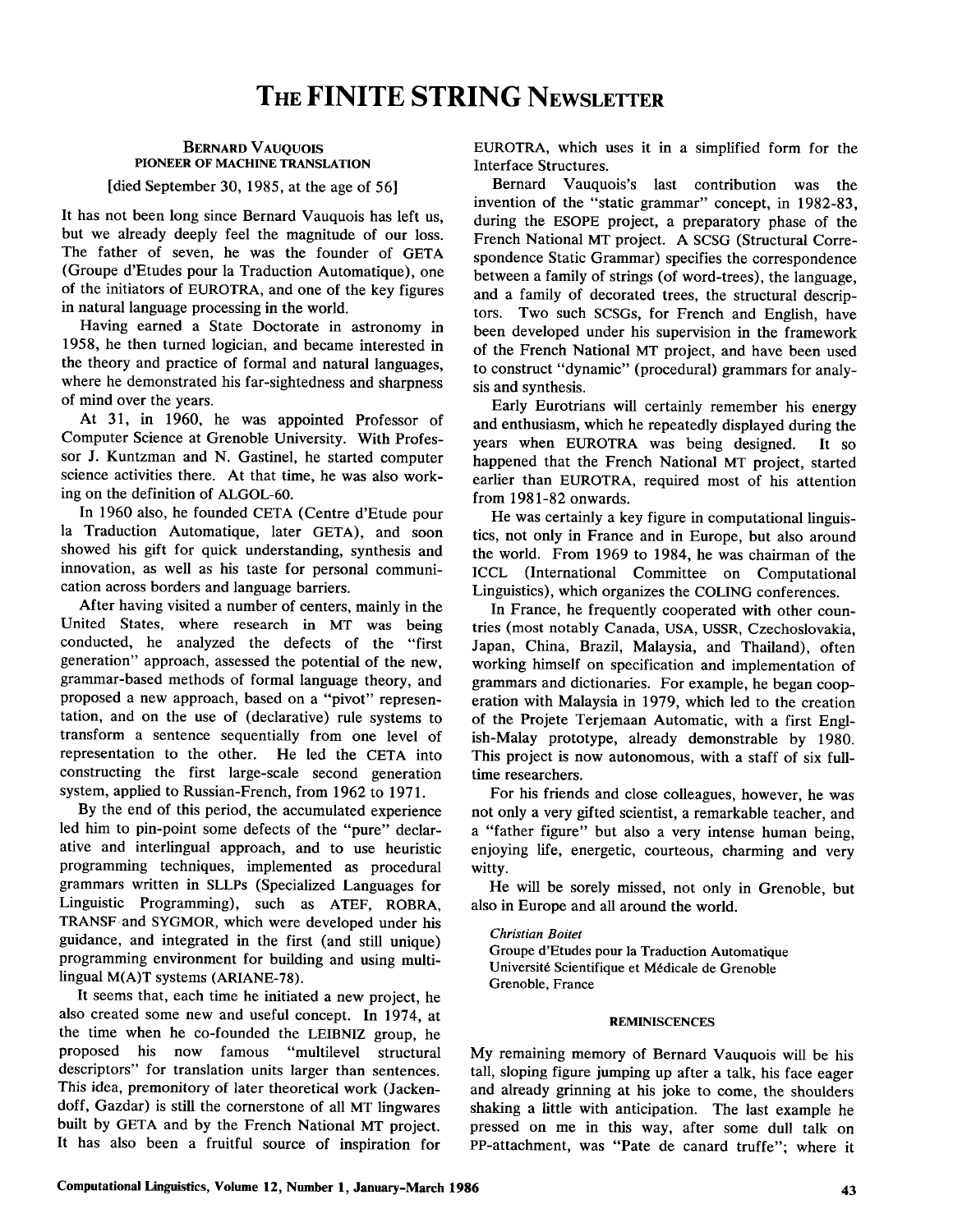# BERNARD VAUQUOIS PIONEER OF MACHINE TRANSLATION

[died September 30, 1985, at the age of 56]

It has not been long since Bernard Vauquois has left us, but we already deeply feel the magnitude of our loss. The father of seven, he was the founder of GETA (Groupe d'Etudes pour la Traduction Automatique), one of the initiators of EUROTRA, and one of the key figures in natural language processing in the world.

Having earned a State Doctorate in astronomy in 1958, he then turned logician, and became interested in the theory and practice of formal and natural languages, where he demonstrated his far-sightedness and sharpness of mind over the years.

At 31, in 1960, he was appointed Professor of Computer Science at Grenoble University. With Professor J. Kuntzman and N. Gastinel, he started computer science activities there. At that time, he was also working on the definition of ALGOL-60.

In 1960 also, he founded CETA (Centre d'Etude pour la Traduction Automatique, later GETA), and soon showed his gift for quick understanding, synthesis and innovation, as well as his taste for personal communication across borders and language barriers.

After having visited a number of centers, mainly in the United States, where research in MT was being conducted, he analyzed the defects of the "first generation" approach, assessed the potential of the new, grammar-based methods of formal language theory, and proposed a new approach, based on a "pivot" representation, and on the use of (declarative) rule systems to transform a sentence sequentially from one level of representation to the other. He led the CETA into constructing the first large-scale second generation system, applied to Russian-French, from 1962 to 1971.

By the end of this period, the accumulated experience led him to pin-point some defects of the "pure" declarative and interlingual approach, and to use heuristic programming techniques, implemented as procedural grammars written in SLLPs (Specialized Languages for Linguistic Programming), such as ATEF, ROBRA, TRANSF. and SYGMOR, which were developed under his guidance, and integrated in the first (and still unique) programming environment for building and using multilingual M(A)T systems (ARIANE-78).

It seems that, each time he initiated a new project, he also created some new and useful concept. In 1974, at the time when he co-founded the LEIBNIZ group, he proposed his now famous "multilevel structural descriptors" for translation units larger than sentences. This idea, premonitory of later theoretical work (Jackendoff, Gazdar) is still the cornerstone of all MT lingwares built by GETA and by the French National MT project. It has also been a fruitful source of inspiration for

EUROTRA, which uses it in a simplified form for the Interface Structures.

Bernard Vauquois's last contribution was the invention of the "static grammar" concept, in 1982-83, during the ESOPE project, a preparatory phase of the French National MT project. A SCSG (Structural Correspondence Static Grammar) specifies the correspondence between a family of strings (of word-trees), the language, and a family of decorated trees, the structural descriptors. Two such SCSGs, for French and English, have been developed under his supervision in the framework of the French National MT project, and have been used to construct "dynamic" (procedural) grammars for analysis and synthesis.

Early Eurotrians will certainly remember his energy and enthusiasm, which he repeatedly displayed during the years when EUROTRA was being designed. It so happened that the French National MT project, started earlier than EUROTRA, required most of his attention from 1981-82 onwards.

He was certainly a key figure in computational linguistics, not only in France and in Europe, but also around the world. From 1969 to 1984, he was chairman of the ICCL (International Committee on Computational Linguistics), which organizes the COLING conferences.

In France, he frequently cooperated with other countries (most notably Canada, USA, USSR, Czechoslovakia, Japan, China, Brazil, Malaysia, and Thailand), often working himself on specification and implementation of grammars and dictionaries. For example, he began cooperation with Malaysia in 1979, which led to the creation of the Projete Terjemaan Automatic, with a first English-Malay prototype, already demonstrable by 1980. This project is now autonomous, with a staff of six fulltime researchers.

For his friends and close colleagues, however, he was not only a very gifted scientist, a remarkable teacher, and a "father figure" but also a very intense human being, enjoying life, energetic, courteous, charming and very witty.

He will be sorely missed, not only in Grenoble, but also in Europe and all around the world.

*Christian Boitet* 

Groupe d'Etudes pour la Traduction Automatique Universit6 Scientifique et M6dicale de Grenoble Grenoble, France

### REMINISCENCES

My remaining memory of Bernard Vauquois will be his tall, sloping figure jumping up after a talk, his face eager and already grinning at his joke to come, the shoulders shaking a little with anticipation. The last example he pressed on me in this way, after some dull talk on PP-attachment, was "Pate de canard truffe"; where it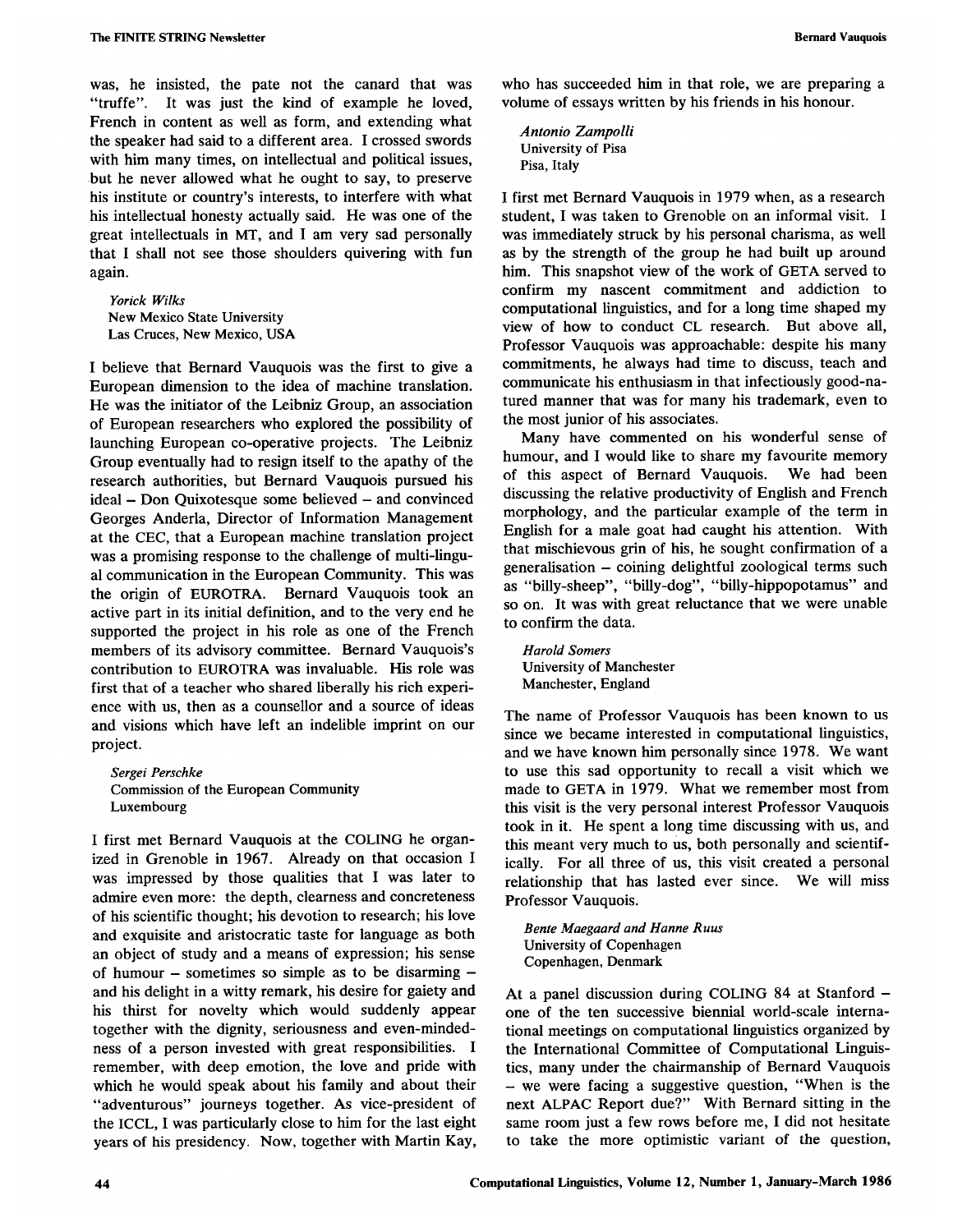was, he insisted, the pate not the canard that was "truffe". It was just the kind of example he loved, French in content as well as form, and extending what the speaker had said to a different area. I crossed swords with him many times, on intellectual and political issues, but he never allowed what he ought to say, to preserve his institute or country's interests, to interfere with what his intellectual honesty actually said. He was one of the great intellectuals in MT, and I am very sad personally that I shall not see those shoulders quivering with fun again.

*Yorick Wilks*  New Mexico State University Las Cruces, New Mexico, USA

I believe that Bernard Vauquois was the first to give a European dimension to the idea of machine translation. He was the initiator of the Leibniz Group, an association of European researchers who explored the possibility of launching European co-operative projects. The Leibniz Group eventually had to resign itself to the apathy of the research authorities, but Bernard Vauquois pursued his ideal - Don Quixotesque some believed - and convinced Georges Anderla, Director of Information Management at the CEC, that a European machine translation project was a promising response to the challenge of multi-lingual communication in the European Community. This was the origin of EUROTRA. Bernard Vauquois took an active part in its initial definition, and to the very end he supported the project in his role as one of the French members of its advisory committee. Bernard Vauquois's contribution to EUROTRA was invaluable. His role was first that of a teacher who shared liberally his rich experience with us, then as a counsellor and a source of ideas and visions which have left an indelible imprint on our project.

*Sergei Perschke*  Commission of the European Community Luxembourg

I first met Bernard Vauquois at the COLING he organized in Grenoble in 1967. Already on that occasion I was impressed by those qualities that I was later to admire even more: the depth, clearness and concreteness of his scientific thought; his devotion to research; his love and exquisite and aristocratic taste for language as both an object of study and a means of expression; his sense of humour  $-$  sometimes so simple as to be disarming  $$ and his delight in a witty remark, his desire for gaiety and his thirst for novelty which would suddenly appear together with the dignity, seriousness and even-mindedness of a person invested with great responsibilities. I remember, with deep emotion, the love and pride with which he would speak about his family and about their "adventurous" journeys together. As vice-president of the ICCL, I was particularly close to him for the last eight years of his presidency. Now, together with Martin Kay,

who has succeeded him in that role, we are preparing a volume of essays written by his friends in his honour.

*Antonio Zampolli*  University of Pisa Pisa, Italy

I first met Bernard Vauquois in 1979 when, as a research student, I was taken to Grenoble on an informal visit. I was immediately struck by his personal charisma, as well as by the strength of the group he had built up around him. This snapshot view of the work of GETA served to confirm my nascent commitment and addiction to computational linguistics, and for a long time shaped my view of how to conduct CL research. But above all, Professor Vauquois was approachable: despite his many commitments, he always had time to discuss, teach and communicate his enthusiasm in that infectiously good-natured manner that was for many his trademark, even to the most junior of his associates.

Many have commented on his wonderful sense of humour, and I would like to share my favourite memory of this aspect of Bernard Vauquois. We had been discussing the relative productivity of English and French morphology, and the particular example of the term in English for a male goat had caught his attention. With that mischievous grin of his, he sought confirmation of a generalisation - coining delightful zoological terms such as "billy-sheep", "billy-dog", "billy-hippopotamus" and so on. It was with great reluctance that we were unable to confirm the data.

*Harold Somers*  University of Manchester Manchester, England

The name of Professor Vauquois has been known to us since we became interested in computational linguistics, and we have known him personally since 1978. We want to use this sad opportunity to recall a visit which we made to GETA in 1979. What we remember most from this visit is the very personal interest Professor Vauquois took in it. He spent a long time discussing with us, and this meant very much to us, both personally and scientifically. For all three of us, this visit created a personal relationship that has lasted ever since. We will miss Professor Vauquois.

*Bente Maegaard and Hanne Ruus*  University of Copenhagen Copenhagen, Denmark

At a panel discussion during COLING 84 at Stanford one of the ten successive biennial world-scale international meetings on computational linguistics organized by the International Committee of Computational Linguistics, many under the chairmanship of Bernard Vauquois **-** we were facing a suggestive question, "When is the next ALPAC Report due?" With Bernard sitting in the same room just a few rows before me, I did not hesitate to take the more optimistic variant of the question,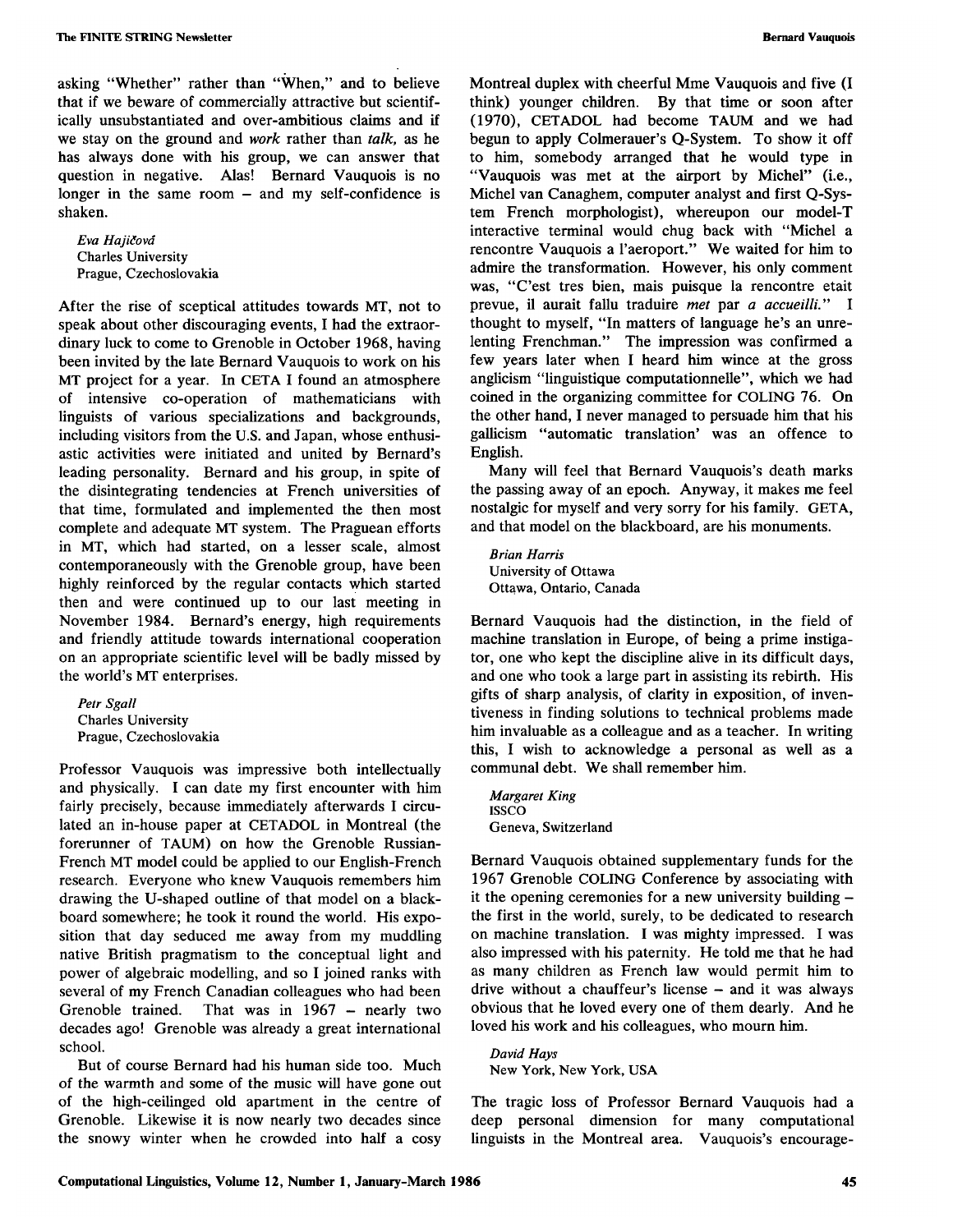asking "Whether" rather than "When," and to believe that if we beware of commercially attractive but scientifically unsubstantiated and over-ambitious claims and if we stay on the ground and *work* rather than *talk,* as he has always done with his group, we can answer that question in negative. Alas! Bernard Vauquois is no longer in the same room  $-$  and my self-confidence is shaken.

*Eva Hajidovd*  Charles University Prague, Czechoslovakia

After the rise of sceptical attitudes towards MT, not to speak about other discouraging events, I had the extraordinary luck to come to Grenoble in October 1968, having been invited by the late Bernard Vauquois to work on his MT project for a year. In CETA I found an atmosphere of intensive co-operation of mathematicians with linguists of various specializations and backgrounds, including visitors from the U.S. and Japan, whose enthusiastic activities were initiated and united by Bernard's leading personality. Bernard and his group, in spite of the disintegrating tendencies at French universities of that time, formulated and implemented the then most complete and adequate MT system. The Praguean efforts in MT, which had started, on a lesser scale, almost contemporaneously with the Grenoble group, have been highly reinforced by the regular contacts which started then and were continued up to our last meeting in November 1984. Bernard's energy, high requirements and friendly attitude towards international cooperation on an appropriate scientific level will be badly missed by the world's MT enterprises.

*Petr Sgall*  Charles University Prague, Czechoslovakia

Professor Vauquois was impressive both intellectually and physically. I can date my first encounter with him fairly precisely, because immediately afterwards I circulated an in-house paper at CETADOL in Montreal (the forerunner of TAUM) on how the Grenoble Russian-French MT model could be applied to our English-French research. Everyone who knew Vauquois remembers him drawing the U-shaped outline of that model on a blackboard somewhere; he took it round the world. His exposition that day seduced me away from my muddling native British pragmatism to the conceptual light and power of algebraic modelling, and so I joined ranks with several of my French Canadian colleagues who had been Grenoble trained. That was in 1967 - nearly two decades ago! Grenoble was already a great international school.

But of course Bernard had his human side too. Much of the warmth and some of the music will have gone out of the high-ceilinged old apartment in the centre of Grenoble. Likewise it is now nearly two decades since the snowy winter when he crowded into half a cosy

Montreal duplex with cheerful Mme Vauquois and five (I think) younger children. By that time or soon after (1970), CETADOL had become TAUM and we had begun to apply Colmerauer's Q-System. To show it off to him, somebody arranged that he would type in "Vauquois was met at the airport by Michel" (i.e., Michel van Canaghem, computer analyst and first Q-System French morphologist), whereupon our model-T interactive terminal would chug back with "Michel a rencontre Vauquois a l'aeroport." We waited for him to admire the transformation. However, his only comment was, "C'est tres bien, mais puisque la rencontre etait prevue, il aurait fallu traduire *met* par *a accueilli." I*  thought to myself, "In matters of language he's an unrelenting Frenchman." The impression was confirmed a few years later when I heard him wince at the gross anglicism "linguistique computationnelle", which we had coined in the organizing committee for COLING 76. On the other hand, I never managed to persuade him that his gallicism "automatic translation' was an offence to English.

Many will feel that Bernard Vauquois's death marks the passing away of an epoch. Anyway, it makes me feel nostalgic for myself and very sorry for his family. GETA, and that model on the blackboard, are his monuments.

*Brian Harris*  University of Ottawa Ottawa, Ontario, Canada

Bernard Vauquois had the distinction, in the field of machine translation in Europe, of being a prime instigator, one who kept the discipline alive in its difficult days, and one who took a large part in assisting its rebirth. His gifts of sharp analysis, of clarity in exposition, of inventiveness in finding solutions to technical problems made him invaluable as a colleague and as a teacher. In writing this, I wish to acknowledge a personal as well as a communal debt. We shall remember him.

*Margaret King*  ISSCO Geneva, Switzerland

Bernard Vauquois obtained supplementary funds for the 1967 Grenoble COLING Conference by associating with it the opening ceremonies for a new university building the first in the world, surely, to be dedicated to research on machine translation. I was mighty impressed. I was also impressed with his paternity. He told me that he had as many children as French law would permit him to drive without a chauffeur's license - and it was always obvious that he loved every one of them dearly. And he loved his work and his colleagues, who mourn him.

*David Hays*  New York, New York, USA

The tragic loss of Professor Bernard Vauquois had a deep personal dimension for many computational linguists in the Montreal area. Vauquois's encourage-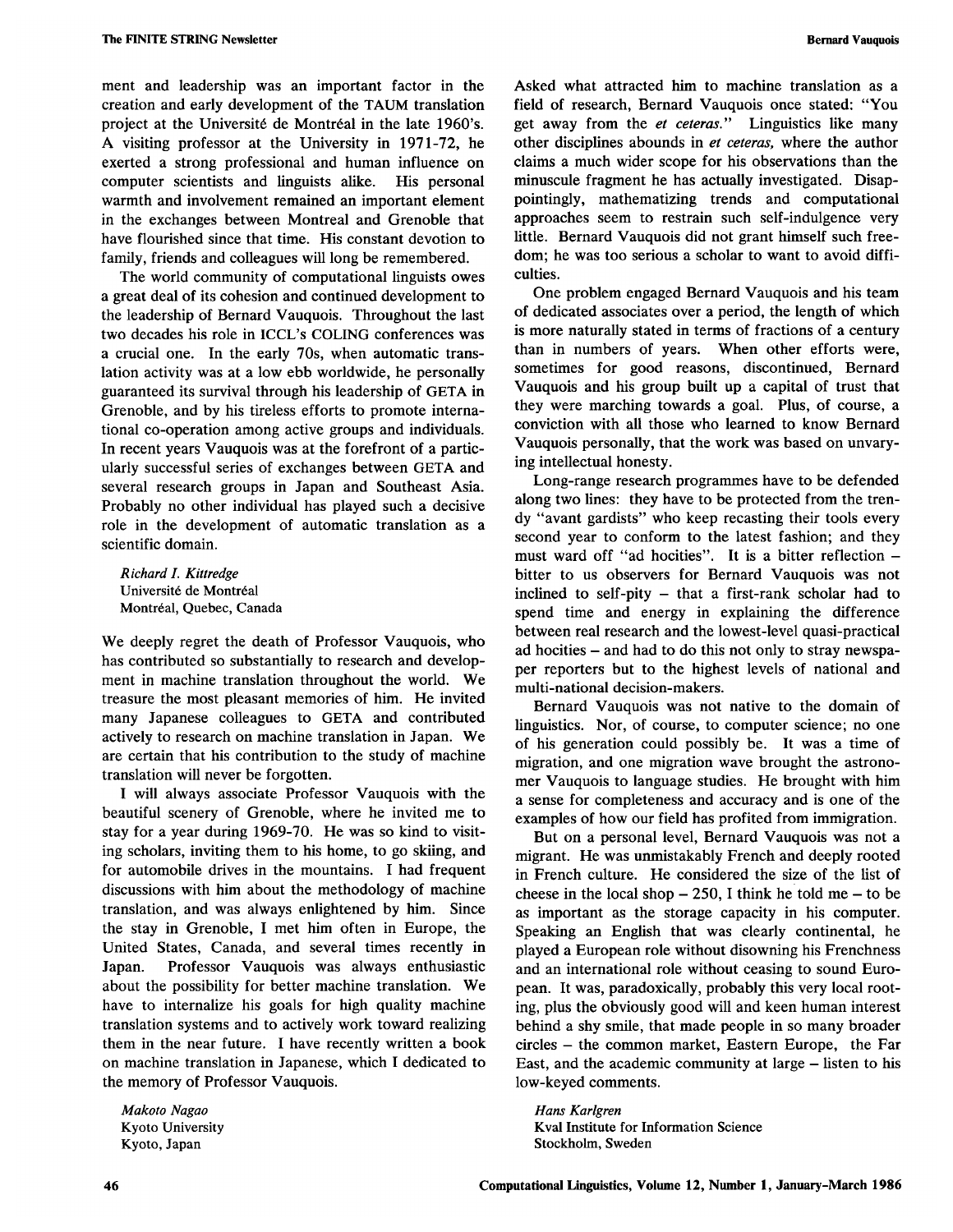ment and leadership was an important factor in the creation and early development of the TAUM translation project at the Université de Montréal in the late 1960's. A visiting professor at the University in 1971-72, he exerted a strong professional and human influence on computer scientists and linguists alike. His personal warmth and involvement remained an important element in the exchanges between Montreal and Grenoble that have flourished since that time. His constant devotion to family, friends and colleagues will long be remembered.

The world community of computational linguists owes a great deal of its cohesion and continued development to the leadership of Bernard Vauquois. Throughout the last two decades his role in ICCL's COLING conferences was a crucial one. In the early 70s, when automatic translation activity was at a low ebb worldwide, he personally guaranteed its survival through his leadership of GETA in Grenoble, and by his tireless efforts to promote international co-operation among active groups and individuals. In recent years Vauquois was at the forefront of a particularly successful series of exchanges between GETA and several research groups in Japan and Southeast Asia. Probably no other individual has played such a decisive role in the development of automatic translation as a scientific domain.

*Richard L Kittredge*  Université de Montréal Montréal, Quebec, Canada

We deeply regret the death of Professor Vauquois, who has contributed so substantially to research and development in machine translation throughout the world. We treasure the most pleasant memories of him. He invited many Japanese colleagues to GETA and contributed actively to research on machine translation in Japan. We are certain that his contribution to the study of machine translation will never be forgotten.

I will always associate Professor Vauquois with the beautiful scenery of Grenoble, where he invited me to stay for a year during 1969-70. He was so kind to visiting scholars, inviting them to his home, to go skiing, and for automobile drives in the mountains. I had frequent discussions with him about the methodology of machine translation, and was always enlightened by him. Since the stay in Grenoble, I met him often in Europe, the United States, Canada, and several times recently in Japan. Professor Vauquois was always enthusiastic about the possibility for better machine translation. We have to internalize his goals for high quality machine translation systems and to actively work toward realizing them in the near future. I have recently written a book on machine translation in Japanese, which I dedicated to the memory of Professor Vauquois.

*Makoto Nagao*  Kyoto University Kyoto, Japan

Asked what attracted him to machine translation as a field of research, Bernard Vauquois once stated: "You get away from the *et ceteras."* Linguistics like many other disciplines abounds in *et ceteras,* where the author claims a much wider scope for his observations than the minuscule fragment he has actually investigated. Disappointingly, mathematizing trends and computational approaches seem to restrain such self-indulgence very little. Bernard Vauquois did not grant himself such freedom; he was too serious a scholar to want to avoid difficulties.

One problem engaged Bernard Vauquois and his team of dedicated associates over a period, the length of which is more naturally stated in terms of fractions of a century than in numbers of years. When other efforts were, sometimes for good reasons, discontinued, Bernard Vauquois and his group built up a capital of trust that they were marching towards a goal. Plus, of course, a conviction with all those who learned to know Bernard Vauquois personally, that the work was based on unvarying intellectual honesty.

Long-range research programmes have to be defended along two lines: they have to be protected from the trendy "avant gardists" who keep recasting their tools every second year to conform to the latest fashion; and they must ward off "ad hocities". It is a bitter reflection bitter to us observers for Bernard Vauquois was not inclined to self-pity - that a first-rank scholar had to spend time and energy in explaining the difference between real research and the lowest-level quasi-practical ad hocities - and had to do this not only to stray newspaper reporters but to the highest levels of national and multi-national decision-makers.

Bernard Vauquois was not native to the domain of linguistics. Nor, of course, to computer science; no one of his generation could possibly be. It was a time of migration, and one migration wave brought the astronomer Vauquois to language studies. He brought with him a sense for completeness and accuracy and is one of the examples of how our field has profited from immigration.

But on a personal level, Bernard Vauquois was not a migrant. He was unmistakably French and deeply rooted in French culture. He considered the size of the list of cheese in the local shop  $-250$ , I think he told me  $-$  to be as important as the storage capacity in his computer. Speaking an English that was clearly continental, he played a European role without disowning his Frenchness and an international role without ceasing to sound European. It was, paradoxically, probably this very local rooting, plus the obviously good will and keen human interest behind a shy smile, that made people in so many broader circles - the common market, Eastern Europe, the Far East, and the academic community at large – listen to his low-keyed comments.

*Hans Karlgren*  Kval Institute for Information Science Stockholm, Sweden